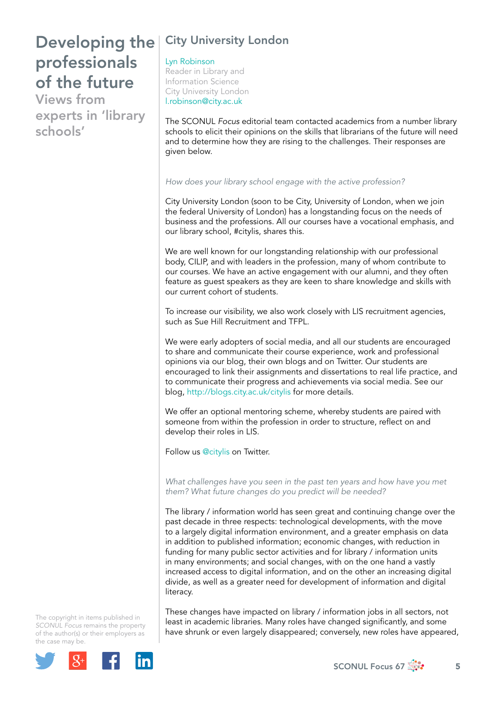Views from experts in 'library schools'

## City University London

Lyn Robinson Reader in Library and Information Science City University London [l.robinson@city.ac.uk](mailto:l.robinson@city.ac.uk)

The SCONUL *Focus* editorial team contacted academics from a number library schools to elicit their opinions on the skills that librarians of the future will need and to determine how they are rising to the challenges. Their responses are given below.

### *How does your library school engage with the active profession?*

City University London (soon to be City, University of London, when we join the federal University of London) has a longstanding focus on the needs of business and the professions. All our courses have a vocational emphasis, and our library school, #citylis, shares this.

We are well known for our longstanding relationship with our professional body, CILIP, and with leaders in the profession, many of whom contribute to our courses. We have an active engagement with our alumni, and they often feature as guest speakers as they are keen to share knowledge and skills with our current cohort of students.

To increase our visibility, we also work closely with LIS recruitment agencies, such as Sue Hill Recruitment and TFPL.

We were early adopters of social media, and all our students are encouraged to share and communicate their course experience, work and professional opinions via our blog, their own blogs and on Twitter. Our students are encouraged to link their assignments and dissertations to real life practice, and to communicate their progress and achievements via social media. See our blog, <http://blogs.city.ac.uk/citylis> for more details.

We offer an optional mentoring scheme, whereby students are paired with someone from within the profession in order to structure, reflect on and develop their roles in LIS.

Follow us @citylis on Twitter.

*What challenges have you seen in the past ten years and how have you met them? What future changes do you predict will be needed?*

The library / information world has seen great and continuing change over the past decade in three respects: technological developments, with the move to a largely digital information environment, and a greater emphasis on data in addition to published information; economic changes, with reduction in funding for many public sector activities and for library / information units in many environments; and social changes, with on the one hand a vastly increased access to digital information, and on the other an increasing digital divide, as well as a greater need for development of information and digital literacy.

These changes have impacted on library / information jobs in all sectors, not least in academic libraries. Many roles have changed significantly, and some have shrunk or even largely disappeared; conversely, new roles have appeared,

The copyright in items published in *SCONUL Focus* remains the property of the author(s) or their employers as the case may be.



SCONUL Focus 67  $\frac{1}{200}$  5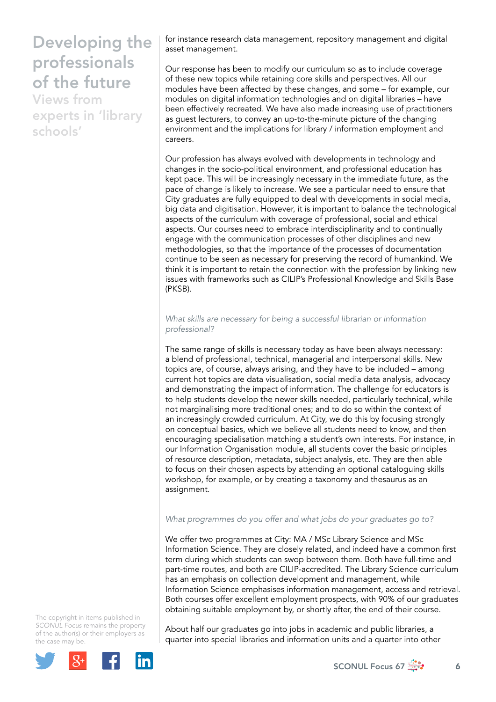Views from experts in 'library schools'

for instance research data management, repository management and digital asset management.

Our response has been to modify our curriculum so as to include coverage of these new topics while retaining core skills and perspectives. All our modules have been affected by these changes, and some – for example, our modules on digital information technologies and on digital libraries – have been effectively recreated. We have also made increasing use of practitioners as guest lecturers, to convey an up-to-the-minute picture of the changing environment and the implications for library / information employment and careers.

Our profession has always evolved with developments in technology and changes in the socio-political environment, and professional education has kept pace. This will be increasingly necessary in the immediate future, as the pace of change is likely to increase. We see a particular need to ensure that City graduates are fully equipped to deal with developments in social media, big data and digitisation. However, it is important to balance the technological aspects of the curriculum with coverage of professional, social and ethical aspects. Our courses need to embrace interdisciplinarity and to continually engage with the communication processes of other disciplines and new methodologies, so that the importance of the processes of documentation continue to be seen as necessary for preserving the record of humankind. We think it is important to retain the connection with the profession by linking new issues with frameworks such as CILIP's Professional Knowledge and Skills Base (PKSB).

*What skills are necessary for being a successful librarian or information professional?*

The same range of skills is necessary today as have been always necessary: a blend of professional, technical, managerial and interpersonal skills. New topics are, of course, always arising, and they have to be included – among current hot topics are data visualisation, social media data analysis, advocacy and demonstrating the impact of information. The challenge for educators is to help students develop the newer skills needed, particularly technical, while not marginalising more traditional ones; and to do so within the context of an increasingly crowded curriculum. At City, we do this by focusing strongly on conceptual basics, which we believe all students need to know, and then encouraging specialisation matching a student's own interests. For instance, in our Information Organisation module, all students cover the basic principles of resource description, metadata, subject analysis, etc. They are then able to focus on their chosen aspects by attending an optional cataloguing skills workshop, for example, or by creating a taxonomy and thesaurus as an assignment.

### *What programmes do you offer and what jobs do your graduates go to?*

We offer two programmes at City: MA / MSc Library Science and MSc Information Science. They are closely related, and indeed have a common first term during which students can swop between them. Both have full-time and part-time routes, and both are CILIP-accredited. The Library Science curriculum has an emphasis on collection development and management, while Information Science emphasises information management, access and retrieval. Both courses offer excellent employment prospects, with 90% of our graduates obtaining suitable employment by, or shortly after, the end of their course.

The copyright in items published in *SCONUL Focus* remains the property of the author(s) or their employers as the case may be.



About half our graduates go into jobs in academic and public libraries, a quarter into special libraries and information units and a quarter into other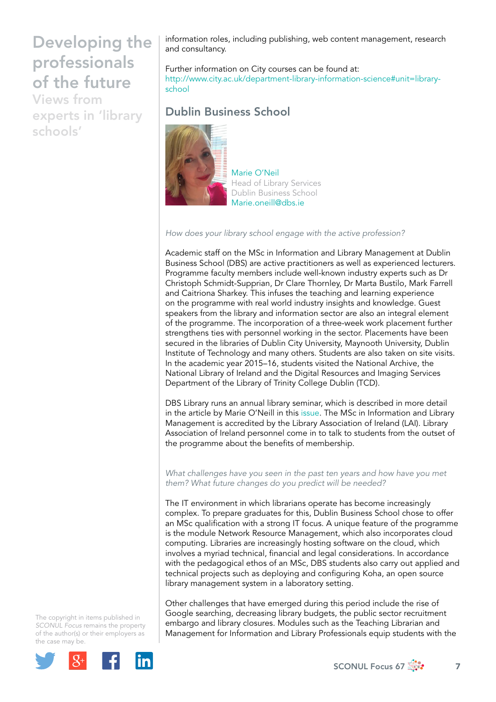Views from experts in 'library schools'

information roles, including publishing, web content management, research and consultancy.

Further information on City courses can be found at: [http://www.city.ac.uk/department-library-information-science#unit=library](http://www.city.ac.uk/department-library-information-science#unit=library-school)school

### Dublin Business School



Marie O'Neil Head of Library Services Dublin Business School [Marie.oneill@dbs.ie](mailto:Marie.oneill@dbs.ie)

*How does your library school engage with the active profession?*

Academic staff on the MSc in Information and Library Management at Dublin Business School (DBS) are active practitioners as well as experienced lecturers. Programme faculty members include well-known industry experts such as Dr Christoph Schmidt-Supprian, Dr Clare Thornley, Dr Marta Bustilo, Mark Farrell and Caitriona Sharkey. This infuses the teaching and learning experience on the programme with real world industry insights and knowledge. Guest speakers from the library and information sector are also an integral element of the programme. The incorporation of a three-week work placement further strengthens ties with personnel working in the sector. Placements have been secured in the libraries of Dublin City University, Maynooth University, Dublin Institute of Technology and many others. Students are also taken on site visits. In the academic year 2015–16, students visited the National Archive, the National Library of Ireland and the Digital Resources and Imaging Services Department of the Library of Trinity College Dublin (TCD).

DBS Library runs an annual library seminar, which is described in more detail in the article by Marie O'Neill in this issue. The MSc in Information and Library Management is accredited by the Library Association of Ireland (LAI). Library Association of Ireland personnel come in to talk to students from the outset of the programme about the benefits of membership.

*What challenges have you seen in the past ten years and how have you met them? What future changes do you predict will be needed?*

The IT environment in which librarians operate has become increasingly complex. To prepare graduates for this, Dublin Business School chose to offer an MSc qualification with a strong IT focus. A unique feature of the programme is the module Network Resource Management, which also incorporates cloud computing. Libraries are increasingly hosting software on the cloud, which involves a myriad technical, financial and legal considerations. In accordance with the pedagogical ethos of an MSc, DBS students also carry out applied and technical projects such as deploying and configuring Koha, an open source library management system in a laboratory setting.

Other challenges that have emerged during this period include the rise of Google searching, decreasing library budgets, the public sector recruitment embargo and library closures. Modules such as the Teaching Librarian and Management for Information and Library Professionals equip students with the

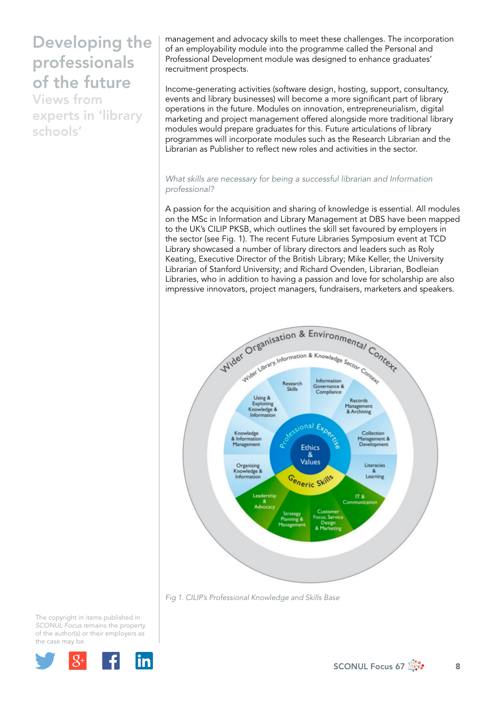Views from experts in 'library schools'

management and advocacy skills to meet these challenges. The incorporation of an employability module into the programme called the Personal and Professional Development module was designed to enhance graduates' recruitment prospects.

Income-generating activities (software design, hosting, support, consultancy, events and library businesses) will become a more significant part of library operations in the future. Modules on innovation, entrepreneurialism, digital marketing and project management offered alongside more traditional library modules would prepare graduates for this. Future articulations of library programmes will incorporate modules such as the Research Librarian and the Librarian as Publisher to reflect new roles and activities in the sector.

### *What skills are necessary for being a successful librarian and Information professional?*

A passion for the acquisition and sharing of knowledge is essential. All modules on the MSc in Information and Library Management at DBS have been mapped to the UK's CILIP PKSB, which outlines the skill set favoured by employers in the sector (see Fig. 1). The recent Future Libraries Symposium event at TCD Library showcased a number of library directors and leaders such as Roly Keating, Executive Director of the British Library; Mike Keller, the University Librarian of Stanford University; and Richard Ovenden, Librarian, Bodleian Libraries, who in addition to having a passion and love for scholarship are also impressive innovators, project managers, fundraisers, marketers and speakers.



*Fig 1. CILIP's Professional Knowledge and Skills Base* 

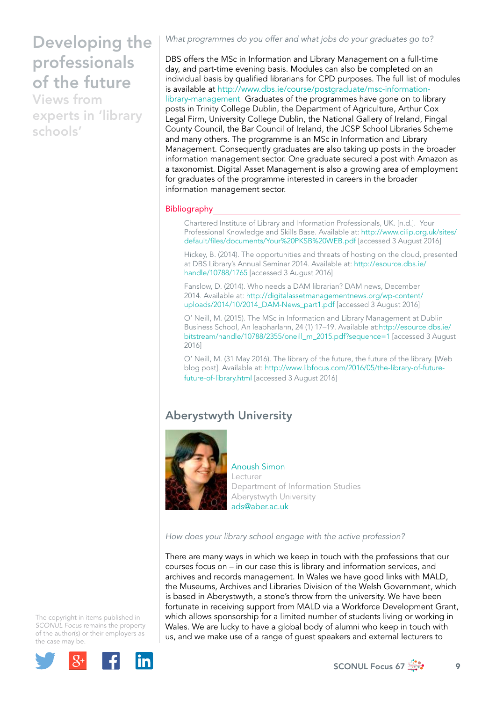Views from experts in 'library schools'

*What programmes do you offer and what jobs do your graduates go to?* 

DBS offers the MSc in Information and Library Management on a full-time day, and part-time evening basis. Modules can also be completed on an individual basis by qualified librarians for CPD purposes. The full list of modules is available at [http://www.dbs.ie/course/postgraduate/msc-information](http://www.dbs.ie/course/postgraduate/msc-information-library-management)[library-management](http://www.dbs.ie/course/postgraduate/msc-information-library-management) Graduates of the programmes have gone on to library posts in Trinity College Dublin, the Department of Agriculture, Arthur Cox Legal Firm, University College Dublin, the National Gallery of Ireland, Fingal County Council, the Bar Council of Ireland, the JCSP School Libraries Scheme and many others. The programme is an MSc in Information and Library Management. Consequently graduates are also taking up posts in the broader information management sector. One graduate secured a post with Amazon as a taxonomist. Digital Asset Management is also a growing area of employment for graduates of the programme interested in careers in the broader information management sector.

### **Bibliography**

Chartered Institute of Library and Information Professionals, UK. [n.d.]. Your Professional Knowledge and Skills Base. Available at: [http://www.cilip.org.uk/sites/](http://www.cilip.org.uk/sites/default/files/documents/Your%20PKSB%20WEB.pdf) [default/files/documents/Your%20PKSB%20WEB.pdf](http://www.cilip.org.uk/sites/default/files/documents/Your%20PKSB%20WEB.pdf) [accessed 3 August 2016]

Hickey, B. (2014). The opportunities and threats of hosting on the cloud, presented at DBS Library's Annual Seminar 2014. Available at: [http://esource.dbs.ie/](http://esource.dbs.ie/handle/10788/1765) [handle/10788/1765](http://esource.dbs.ie/handle/10788/1765) [accessed 3 August 2016]

Fanslow, D. (2014). Who needs a DAM librarian? DAM news, December 2014. Available at: [http://digitalassetmanagementnews.org/wp-content/](http://digitalassetmanagementnews.org/wp-content/uploads/2014/10/2014_DAM-News_part1.pdf) [uploads/2014/10/2014\\_DAM-News\\_part1.pdf](http://digitalassetmanagementnews.org/wp-content/uploads/2014/10/2014_DAM-News_part1.pdf) [accessed 3 August 2016]

O' Neill, M. (2015). The MSc in Information and Library Management at Dublin Business School, An leabharlann, 24 (1) 17–19. Available at:[http://esource.dbs.ie/](http://esource.dbs.ie/bitstream/handle/10788/2355/oneill_m_2015.pdf?sequence=1) [bitstream/handle/10788/2355/oneill\\_m\\_2015.pdf?sequence=1](http://esource.dbs.ie/bitstream/handle/10788/2355/oneill_m_2015.pdf?sequence=1) [accessed 3 August 2016]

O' Neill, M. (31 May 2016). The library of the future, the future of the library. [Web blog post]. Available at: [http://www.libfocus.com/2016/05/the-library-of-future](http://www.libfocus.com/2016/05/the-library-of-future-future-of-library.html)[future-of-library.html](http://www.libfocus.com/2016/05/the-library-of-future-future-of-library.html) [accessed 3 August 2016]

### Aberystwyth University



#### Anoush Simon Lecturer Department of Information Studies Aberystwyth University [ads@aber.ac.uk](mailto:ads@aber.ac.uk)

*How does your library school engage with the active profession?*

There are many ways in which we keep in touch with the professions that our courses focus on – in our case this is library and information services, and archives and records management. In Wales we have good links with MALD, the Museums, Archives and Libraries Division of the Welsh Government, which is based in Aberystwyth, a stone's throw from the university. We have been fortunate in receiving support from MALD via a Workforce Development Grant, which allows sponsorship for a limited number of students living or working in Wales. We are lucky to have a global body of alumni who keep in touch with us, and we make use of a range of guest speakers and external lecturers to



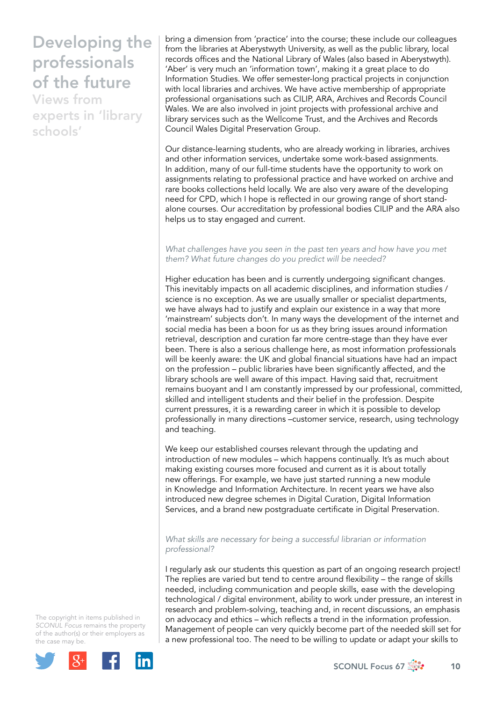Views from experts in 'library schools'

bring a dimension from 'practice' into the course; these include our colleagues from the libraries at Aberystwyth University, as well as the public library, local records offices and the National Library of Wales (also based in Aberystwyth). 'Aber' is very much an 'information town', making it a great place to do Information Studies. We offer semester-long practical projects in conjunction with local libraries and archives. We have active membership of appropriate professional organisations such as CILIP, ARA, Archives and Records Council Wales. We are also involved in joint projects with professional archive and library services such as the Wellcome Trust, and the Archives and Records Council Wales Digital Preservation Group.

Our distance-learning students, who are already working in libraries, archives and other information services, undertake some work-based assignments. In addition, many of our full-time students have the opportunity to work on assignments relating to professional practice and have worked on archive and rare books collections held locally. We are also very aware of the developing need for CPD, which I hope is reflected in our growing range of short standalone courses. Our accreditation by professional bodies CILIP and the ARA also helps us to stay engaged and current.

### *What challenges have you seen in the past ten years and how have you met them? What future changes do you predict will be needed?*

Higher education has been and is currently undergoing significant changes. This inevitably impacts on all academic disciplines, and information studies / science is no exception. As we are usually smaller or specialist departments, we have always had to justify and explain our existence in a way that more 'mainstream' subjects don't. In many ways the development of the internet and social media has been a boon for us as they bring issues around information retrieval, description and curation far more centre-stage than they have ever been. There is also a serious challenge here, as most information professionals will be keenly aware: the UK and global financial situations have had an impact on the profession – public libraries have been significantly affected, and the library schools are well aware of this impact. Having said that, recruitment remains buoyant and I am constantly impressed by our professional, committed, skilled and intelligent students and their belief in the profession. Despite current pressures, it is a rewarding career in which it is possible to develop professionally in many directions –customer service, research, using technology and teaching.

We keep our established courses relevant through the updating and introduction of new modules – which happens continually. It's as much about making existing courses more focused and current as it is about totally new offerings. For example, we have just started running a new module in Knowledge and Information Architecture. In recent years we have also introduced new degree schemes in Digital Curation, Digital Information Services, and a brand new postgraduate certificate in Digital Preservation.

### *What skills are necessary for being a successful librarian or information professional?*

I regularly ask our students this question as part of an ongoing research project! The replies are varied but tend to centre around flexibility – the range of skills needed, including communication and people skills, ease with the developing technological / digital environment, ability to work under pressure, an interest in research and problem-solving, teaching and, in recent discussions, an emphasis on advocacy and ethics – which reflects a trend in the information profession. Management of people can very quickly become part of the needed skill set for a new professional too. The need to be willing to update or adapt your skills to

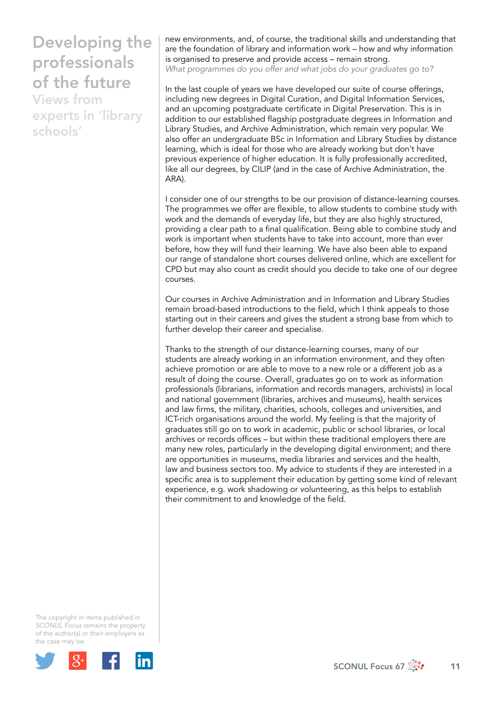Views from experts in 'library schools'

new environments, and, of course, the traditional skills and understanding that are the foundation of library and information work – how and why information is organised to preserve and provide access – remain strong. *What programmes do you offer and what jobs do your graduates go to?*

In the last couple of years we have developed our suite of course offerings, including new degrees in Digital Curation, and Digital Information Services, and an upcoming postgraduate certificate in Digital Preservation. This is in addition to our established flagship postgraduate degrees in Information and Library Studies, and Archive Administration, which remain very popular. We also offer an undergraduate BSc in Information and Library Studies by distance learning, which is ideal for those who are already working but don't have previous experience of higher education. It is fully professionally accredited, like all our degrees, by CILIP (and in the case of Archive Administration, the ARA).

I consider one of our strengths to be our provision of distance-learning courses. The programmes we offer are flexible, to allow students to combine study with work and the demands of everyday life, but they are also highly structured, providing a clear path to a final qualification. Being able to combine study and work is important when students have to take into account, more than ever before, how they will fund their learning. We have also been able to expand our range of standalone short courses delivered online, which are excellent for CPD but may also count as credit should you decide to take one of our degree courses.

Our courses in Archive Administration and in Information and Library Studies remain broad-based introductions to the field, which I think appeals to those starting out in their careers and gives the student a strong base from which to further develop their career and specialise.

Thanks to the strength of our distance-learning courses, many of our students are already working in an information environment, and they often achieve promotion or are able to move to a new role or a different job as a result of doing the course. Overall, graduates go on to work as information professionals (librarians, information and records managers, archivists) in local and national government (libraries, archives and museums), health services and law firms, the military, charities, schools, colleges and universities, and ICT-rich organisations around the world. My feeling is that the majority of graduates still go on to work in academic, public or school libraries, or local archives or records offices – but within these traditional employers there are many new roles, particularly in the developing digital environment; and there are opportunities in museums, media libraries and services and the health, law and business sectors too. My advice to students if they are interested in a specific area is to supplement their education by getting some kind of relevant experience, e.g. work shadowing or volunteering, as this helps to establish their commitment to and knowledge of the field.

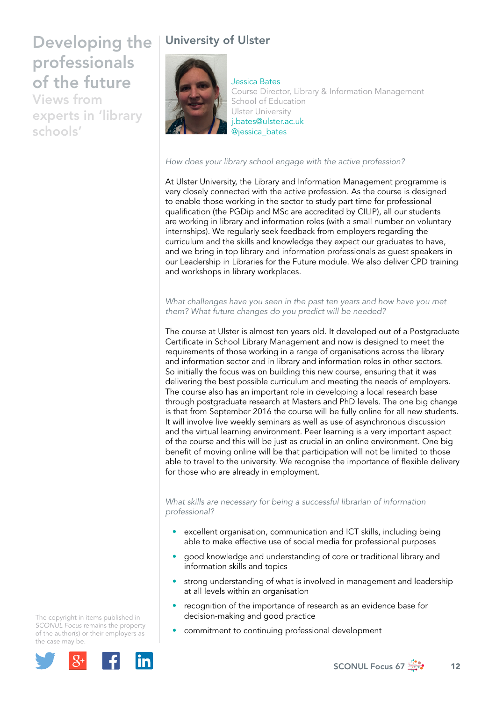Views from experts in 'library schools'

## University of Ulster



Jessica Bates Course Director, Library & Information Management School of Education Ulster University [j.bates@ulster.ac.uk](mailto:j.bates@ulster.ac.uk)  @jessica\_bates

*How does your library school engage with the active profession?*

At Ulster University, the Library and Information Management programme is very closely connected with the active profession. As the course is designed to enable those working in the sector to study part time for professional qualification (the PGDip and MSc are accredited by CILIP), all our students are working in library and information roles (with a small number on voluntary internships). We regularly seek feedback from employers regarding the curriculum and the skills and knowledge they expect our graduates to have, and we bring in top library and information professionals as guest speakers in our Leadership in Libraries for the Future module. We also deliver CPD training and workshops in library workplaces.

*What challenges have you seen in the past ten years and how have you met them? What future changes do you predict will be needed?*

The course at Ulster is almost ten years old. It developed out of a Postgraduate Certificate in School Library Management and now is designed to meet the requirements of those working in a range of organisations across the library and information sector and in library and information roles in other sectors. So initially the focus was on building this new course, ensuring that it was delivering the best possible curriculum and meeting the needs of employers. The course also has an important role in developing a local research base through postgraduate research at Masters and PhD levels. The one big change is that from September 2016 the course will be fully online for all new students. It will involve live weekly seminars as well as use of asynchronous discussion and the virtual learning environment. Peer learning is a very important aspect of the course and this will be just as crucial in an online environment. One big benefit of moving online will be that participation will not be limited to those able to travel to the university. We recognise the importance of flexible delivery for those who are already in employment.

*What skills are necessary for being a successful librarian of information professional?*

- excellent organisation, communication and ICT skills, including being able to make effective use of social media for professional purposes
- good knowledge and understanding of core or traditional library and information skills and topics
- strong understanding of what is involved in management and leadership at all levels within an organisation
- recognition of the importance of research as an evidence base for decision-making and good practice
- commitment to continuing professional development

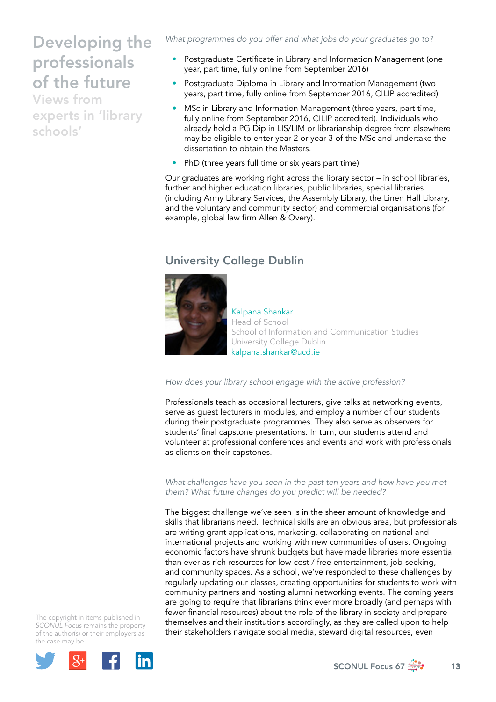Views from experts in 'library schools'

*What programmes do you offer and what jobs do your graduates go to?*

- Postgraduate Certificate in Library and Information Management (one year, part time, fully online from September 2016)
- Postgraduate Diploma in Library and Information Management (two years, part time, fully online from September 2016, CILIP accredited)
- MSc in Library and Information Management (three years, part time, fully online from September 2016, CILIP accredited). Individuals who already hold a PG Dip in LIS/LIM or librarianship degree from elsewhere may be eligible to enter year 2 or year 3 of the MSc and undertake the dissertation to obtain the Masters.
- PhD (three years full time or six years part time)

Our graduates are working right across the library sector – in school libraries, further and higher education libraries, public libraries, special libraries (including Army Library Services, the Assembly Library, the Linen Hall Library, and the voluntary and community sector) and commercial organisations (for example, global law firm Allen & Overy).

### University College Dublin



Kalpana Shankar Head of School School of Information and Communication Studies University College Dublin kalpana.shankar@ucd.ie

### *How does your library school engage with the active profession?*

Professionals teach as occasional lecturers, give talks at networking events, serve as guest lecturers in modules, and employ a number of our students during their postgraduate programmes. They also serve as observers for students' final capstone presentations. In turn, our students attend and volunteer at professional conferences and events and work with professionals as clients on their capstones.

*What challenges have you seen in the past ten years and how have you met them? What future changes do you predict will be needed?*

The biggest challenge we've seen is in the sheer amount of knowledge and skills that librarians need. Technical skills are an obvious area, but professionals are writing grant applications, marketing, collaborating on national and international projects and working with new communities of users. Ongoing economic factors have shrunk budgets but have made libraries more essential than ever as rich resources for low-cost / free entertainment, job-seeking, and community spaces. As a school, we've responded to these challenges by regularly updating our classes, creating opportunities for students to work with community partners and hosting alumni networking events. The coming years are going to require that librarians think ever more broadly (and perhaps with fewer financial resources) about the role of the library in society and prepare themselves and their institutions accordingly, as they are called upon to help their stakeholders navigate social media, steward digital resources, even

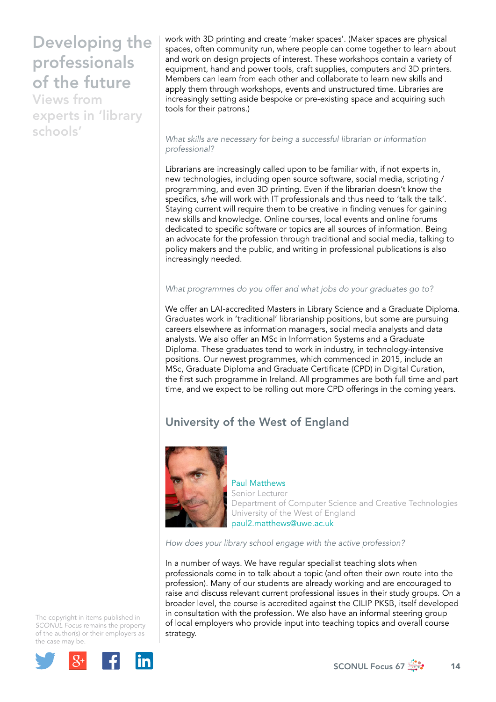Views from experts in 'library schools'

work with 3D printing and create 'maker spaces'. (Maker spaces are physical spaces, often community run, where people can come together to learn about and work on design projects of interest. These workshops contain a variety of equipment, hand and power tools, craft supplies, computers and 3D printers. Members can learn from each other and collaborate to learn new skills and apply them through workshops, events and unstructured time. Libraries are increasingly setting aside bespoke or pre-existing space and acquiring such tools for their patrons.)

#### *What skills are necessary for being a successful librarian or information professional?*

Librarians are increasingly called upon to be familiar with, if not experts in, new technologies, including open source software, social media, scripting / programming, and even 3D printing. Even if the librarian doesn't know the specifics, s/he will work with IT professionals and thus need to 'talk the talk'. Staying current will require them to be creative in finding venues for gaining new skills and knowledge. Online courses, local events and online forums dedicated to specific software or topics are all sources of information. Being an advocate for the profession through traditional and social media, talking to policy makers and the public, and writing in professional publications is also increasingly needed.

### *What programmes do you offer and what jobs do your graduates go to?*

We offer an LAI-accredited Masters in Library Science and a Graduate Diploma. Graduates work in 'traditional' librarianship positions, but some are pursuing careers elsewhere as information managers, social media analysts and data analysts. We also offer an MSc in Information Systems and a Graduate Diploma. These graduates tend to work in industry, in technology-intensive positions. Our newest programmes, which commenced in 2015, include an MSc, Graduate Diploma and Graduate Certificate (CPD) in Digital Curation, the first such programme in Ireland. All programmes are both full time and part time, and we expect to be rolling out more CPD offerings in the coming years.

## University of the West of England



Paul Matthews Senior Lecturer Department of Computer Science and Creative Technologies University of the West of England [paul2.matthews@uwe.ac.uk](mailto:paul2.matthews@uwe.ac.uk)

*How does your library school engage with the active profession?*

In a number of ways. We have regular specialist teaching slots when professionals come in to talk about a topic (and often their own route into the profession). Many of our students are already working and are encouraged to raise and discuss relevant current professional issues in their study groups. On a broader level, the course is accredited against the CILIP PKSB, itself developed in consultation with the profession. We also have an informal steering group of local employers who provide input into teaching topics and overall course strategy.

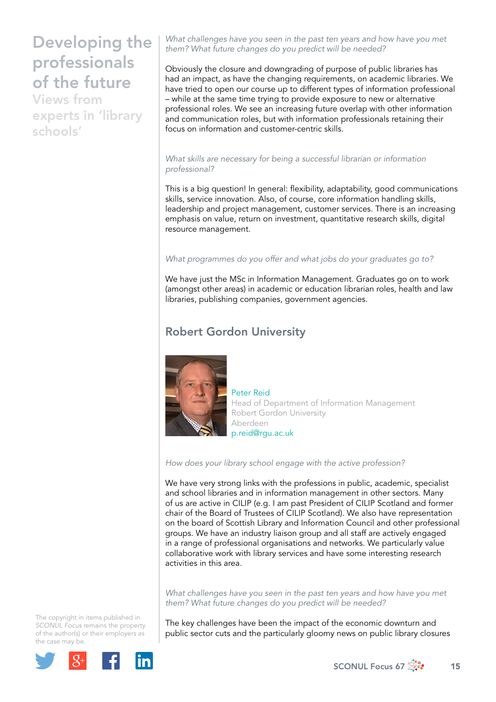Views from experts in 'library schools'

*What challenges have you seen in the past ten years and how have you met them? What future changes do you predict will be needed?*

Obviously the closure and downgrading of purpose of public libraries has had an impact, as have the changing requirements, on academic libraries. We have tried to open our course up to different types of information professional – while at the same time trying to provide exposure to new or alternative professional roles. We see an increasing future overlap with other information and communication roles, but with information professionals retaining their focus on information and customer-centric skills.

#### *What skills are necessary for being a successful librarian or information professional?*

This is a big question! In general: flexibility, adaptability, good communications skills, service innovation. Also, of course, core information handling skills, leadership and project management, customer services. There is an increasing emphasis on value, return on investment, quantitative research skills, digital resource management.

### *What programmes do you offer and what jobs do your graduates go to?*

We have just the MSc in Information Management. Graduates go on to work (amongst other areas) in academic or education librarian roles, health and law libraries, publishing companies, government agencies.

### Robert Gordon University



Peter Reid Head of Department of Information Management Robert Gordon University Aberdeen p.reid@rgu.ac.uk

*How does your library school engage with the active profession?*

We have very strong links with the professions in public, academic, specialist and school libraries and in information management in other sectors. Many of us are active in CILIP (e.g. I am past President of CILIP Scotland and former chair of the Board of Trustees of CILIP Scotland). We also have representation on the board of Scottish Library and Information Council and other professional groups. We have an industry liaison group and all staff are actively engaged in a range of professional organisations and networks. We particularly value collaborative work with library services and have some interesting research activities in this area.

*What challenges have you seen in the past ten years and how have you met them? What future changes do you predict will be needed?* 

The key challenges have been the impact of the economic downturn and public sector cuts and the particularly gloomy news on public library closures